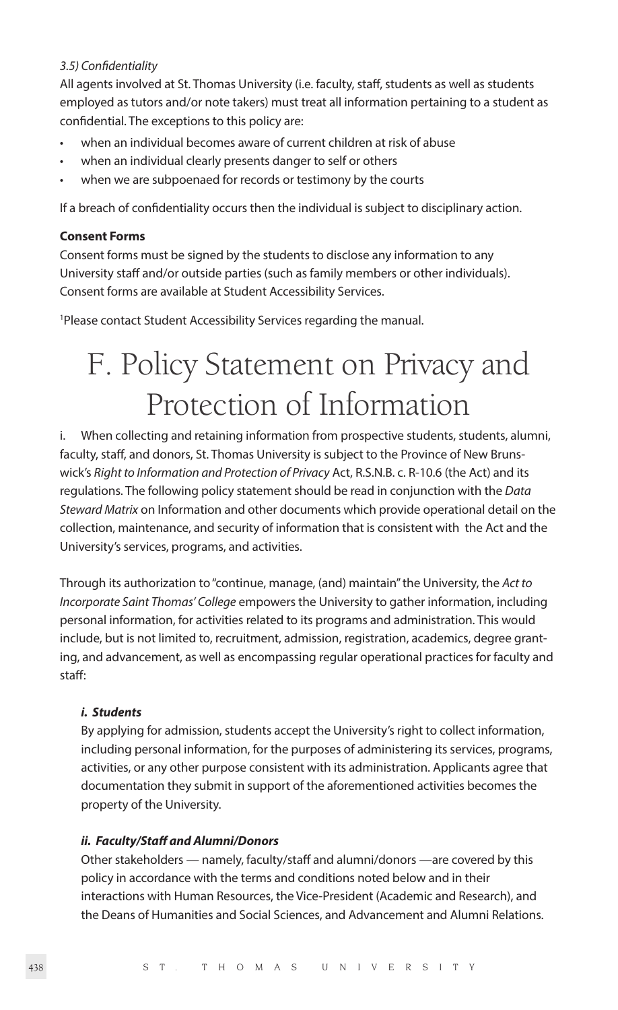#### *3.5) Confidentiality*

All agents involved at St. Thomas University (i.e. faculty, staff, students as well as students employed as tutors and/or note takers) must treat all information pertaining to a student as confidential. The exceptions to this policy are:

- when an individual becomes aware of current children at risk of abuse
- when an individual clearly presents danger to self or others
- when we are subpoenaed for records or testimony by the courts

If a breach of confidentiality occurs then the individual is subject to disciplinary action.

#### **Consent Forms**

Consent forms must be signed by the students to disclose any information to any University staff and/or outside parties (such as family members or other individuals). Consent forms are available at Student Accessibility Services.

1 Please contact Student Accessibility Services regarding the manual.

# F. Policy Statement on Privacy and Protection of Information

i. When collecting and retaining information from prospective students, students, alumni, faculty, staff, and donors, St. Thomas University is subject to the Province of New Brunswick's *Right to Information and Protection of Privacy* Act, R.S.N.B. c. R-10.6 (the Act) and its regulations. The following policy statement should be read in conjunction with the *Data Steward Matrix* on Information and other documents which provide operational detail on the collection, maintenance, and security of information that is consistent with the Act and the University's services, programs, and activities.

Through its authorization to "continue, manage, (and) maintain" the University, the *Act to Incorporate Saint Thomas' College* empowers the University to gather information, including personal information, for activities related to its programs and administration. This would include, but is not limited to, recruitment, admission, registration, academics, degree granting, and advancement, as well as encompassing regular operational practices for faculty and staff:

#### *i. Students*

By applying for admission, students accept the University's right to collect information, including personal information, for the purposes of administering its services, programs, activities, or any other purpose consistent with its administration. Applicants agree that documentation they submit in support of the aforementioned activities becomes the property of the University.

#### *ii. Faculty/Staff and Alumni/Donors*

Other stakeholders — namely, faculty/staff and alumni/donors —are covered by this policy in accordance with the terms and conditions noted below and in their interactions with Human Resources, the Vice-President (Academic and Research), and the Deans of Humanities and Social Sciences, and Advancement and Alumni Relations.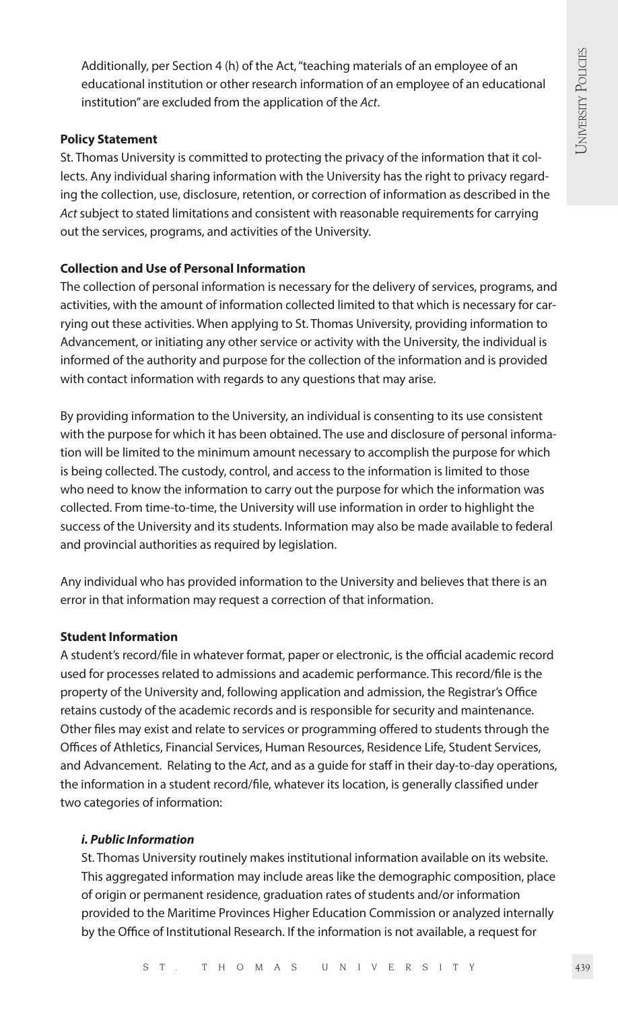Additionally, per Section 4 (h) of the Act, "teaching materials of an employee of an educational institution or other research information of an employee of an educational institution" are excluded from the application of the *Act*.

#### **Policy Statement**

St. Thomas University is committed to protecting the privacy of the information that it collects. Any individual sharing information with the University has the right to privacy regarding the collection, use, disclosure, retention, or correction of information as described in the *Act* subject to stated limitations and consistent with reasonable requirements for carrying out the services, programs, and activities of the University.

# **Collection and Use of Personal Information**

The collection of personal information is necessary for the delivery of services, programs, and activities, with the amount of information collected limited to that which is necessary for carrying out these activities. When applying to St. Thomas University, providing information to Advancement, or initiating any other service or activity with the University, the individual is informed of the authority and purpose for the collection of the information and is provided with contact information with regards to any questions that may arise.

By providing information to the University, an individual is consenting to its use consistent with the purpose for which it has been obtained. The use and disclosure of personal information will be limited to the minimum amount necessary to accomplish the purpose for which is being collected. The custody, control, and access to the information is limited to those who need to know the information to carry out the purpose for which the information was collected. From time-to-time, the University will use information in order to highlight the success of the University and its students. Information may also be made available to federal and provincial authorities as required by legislation.

Any individual who has provided information to the University and believes that there is an error in that information may request a correction of that information.

# **Student Information**

A student's record/file in whatever format, paper or electronic, is the official academic record used for processes related to admissions and academic performance. This record/file is the property of the University and, following application and admission, the Registrar's Office retains custody of the academic records and is responsible for security and maintenance. Other files may exist and relate to services or programming offered to students through the Offices of Athletics, Financial Services, Human Resources, Residence Life, Student Services, and Advancement. Relating to the *Act*, and as a guide for staff in their day-to-day operations, the information in a student record/file, whatever its location, is generally classified under two categories of information:

#### *i. Public Information*

St. Thomas University routinely makes institutional information available on its website. This aggregated information may include areas like the demographic composition, place of origin or permanent residence, graduation rates of students and/or information provided to the Maritime Provinces Higher Education Commission or analyzed internally by the Office of Institutional Research. If the information is not available, a request for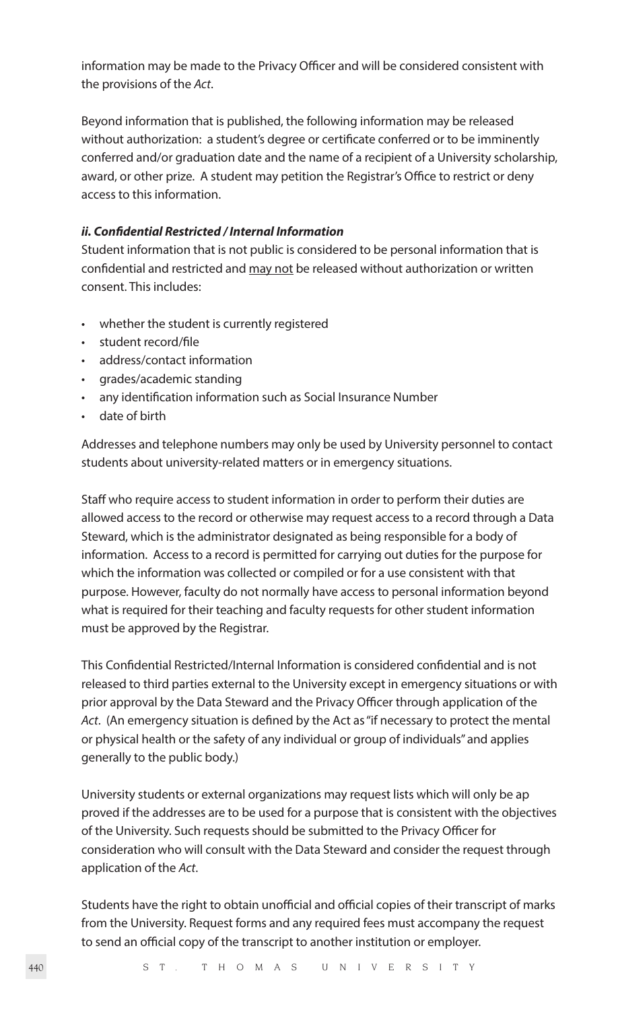information may be made to the Privacy Officer and will be considered consistent with the provisions of the *Act*.

Beyond information that is published, the following information may be released without authorization: a student's degree or certificate conferred or to be imminently conferred and/or graduation date and the name of a recipient of a University scholarship, award, or other prize. A student may petition the Registrar's Office to restrict or deny access to this information.

#### *ii. Confidential Restricted / Internal Information*

Student information that is not public is considered to be personal information that is confidential and restricted and may not be released without authorization or written consent. This includes:

- whether the student is currently registered
- student record/file
- address/contact information
- grades/academic standing
- any identification information such as Social Insurance Number
- date of birth

Addresses and telephone numbers may only be used by University personnel to contact students about university-related matters or in emergency situations.

Staff who require access to student information in order to perform their duties are allowed access to the record or otherwise may request access to a record through a Data Steward, which is the administrator designated as being responsible for a body of information. Access to a record is permitted for carrying out duties for the purpose for which the information was collected or compiled or for a use consistent with that purpose. However, faculty do not normally have access to personal information beyond what is required for their teaching and faculty requests for other student information must be approved by the Registrar.

This Confidential Restricted/Internal Information is considered confidential and is not released to third parties external to the University except in emergency situations or with prior approval by the Data Steward and the Privacy Officer through application of the *Act*. (An emergency situation is defined by the Act as "if necessary to protect the mental or physical health or the safety of any individual or group of individuals" and applies generally to the public body.)

University students or external organizations may request lists which will only be ap proved if the addresses are to be used for a purpose that is consistent with the objectives of the University. Such requests should be submitted to the Privacy Officer for consideration who will consult with the Data Steward and consider the request through application of the *Act*.

Students have the right to obtain unofficial and official copies of their transcript of marks from the University. Request forms and any required fees must accompany the request to send an official copy of the transcript to another institution or employer.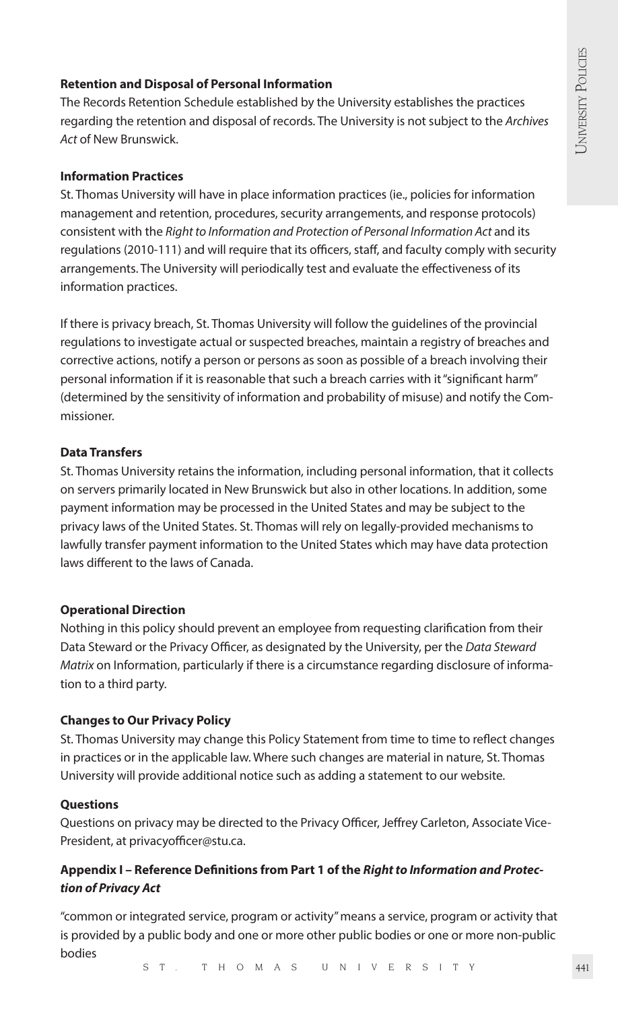## **Retention and Disposal of Personal Information**

The Records Retention Schedule established by the University establishes the practices regarding the retention and disposal of records. The University is not subject to the *Archives Act* of New Brunswick.

#### **Information Practices**

St. Thomas University will have in place information practices (ie., policies for information management and retention, procedures, security arrangements, and response protocols) consistent with the *Right to Information and Protection of Personal Information Act* and its regulations (2010-111) and will require that its officers, staff, and faculty comply with security arrangements. The University will periodically test and evaluate the effectiveness of its information practices.

If there is privacy breach, St. Thomas University will follow the guidelines of the provincial regulations to investigate actual or suspected breaches, maintain a registry of breaches and corrective actions, notify a person or persons as soon as possible of a breach involving their personal information if it is reasonable that such a breach carries with it "significant harm" (determined by the sensitivity of information and probability of misuse) and notify the Commissioner.

## **Data Transfers**

St. Thomas University retains the information, including personal information, that it collects on servers primarily located in New Brunswick but also in other locations. In addition, some payment information may be processed in the United States and may be subject to the privacy laws of the United States. St. Thomas will rely on legally-provided mechanisms to lawfully transfer payment information to the United States which may have data protection laws different to the laws of Canada.

# **Operational Direction**

Nothing in this policy should prevent an employee from requesting clarification from their Data Steward or the Privacy Officer, as designated by the University, per the *Data Steward Matrix* on Information, particularly if there is a circumstance regarding disclosure of information to a third party.

#### **Changes to Our Privacy Policy**

St. Thomas University may change this Policy Statement from time to time to reflect changes in practices or in the applicable law. Where such changes are material in nature, St. Thomas University will provide additional notice such as adding a statement to our website.

#### **Questions**

Questions on privacy may be directed to the Privacy Officer, Jeffrey Carleton, Associate Vice-President, at privacyofficer@stu.ca.

# **Appendix I – Reference Definitions from Part 1 of the** *Right to Information and Protection of Privacy Act*

"common or integrated service, program or activity" means a service, program or activity that is provided by a public body and one or more other public bodies or one or more non-public bodies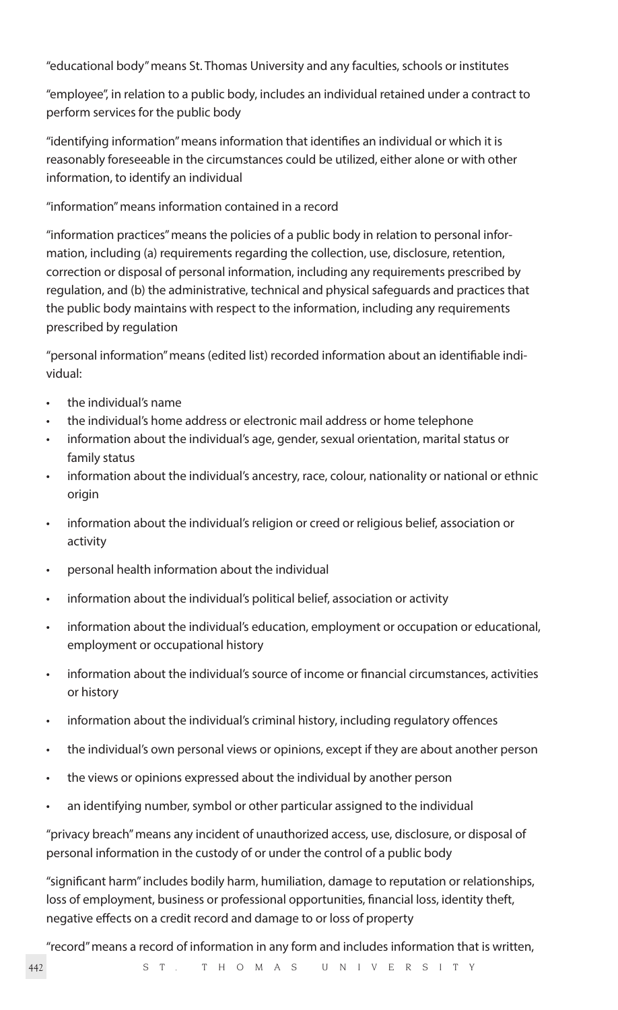"educational body" means St. Thomas University and any faculties, schools or institutes

"employee", in relation to a public body, includes an individual retained under a contract to perform services for the public body

"identifying information" means information that identifies an individual or which it is reasonably foreseeable in the circumstances could be utilized, either alone or with other information, to identify an individual

#### "information" means information contained in a record

"information practices" means the policies of a public body in relation to personal information, including (a) requirements regarding the collection, use, disclosure, retention, correction or disposal of personal information, including any requirements prescribed by regulation, and (b) the administrative, technical and physical safeguards and practices that the public body maintains with respect to the information, including any requirements prescribed by regulation

"personal information" means (edited list) recorded information about an identifiable individual:

- the individual's name
- the individual's home address or electronic mail address or home telephone
- information about the individual's age, gender, sexual orientation, marital status or family status
- information about the individual's ancestry, race, colour, nationality or national or ethnic origin
- information about the individual's religion or creed or religious belief, association or activity
- personal health information about the individual
- information about the individual's political belief, association or activity
- information about the individual's education, employment or occupation or educational, employment or occupational history
- information about the individual's source of income or financial circumstances, activities or history
- information about the individual's criminal history, including regulatory offences
- the individual's own personal views or opinions, except if they are about another person
- the views or opinions expressed about the individual by another person
- an identifying number, symbol or other particular assigned to the individual

"privacy breach" means any incident of unauthorized access, use, disclosure, or disposal of personal information in the custody of or under the control of a public body

"significant harm" includes bodily harm, humiliation, damage to reputation or relationships, loss of employment, business or professional opportunities, financial loss, identity theft, negative effects on a credit record and damage to or loss of property

"record" means a record of information in any form and includes information that is written,